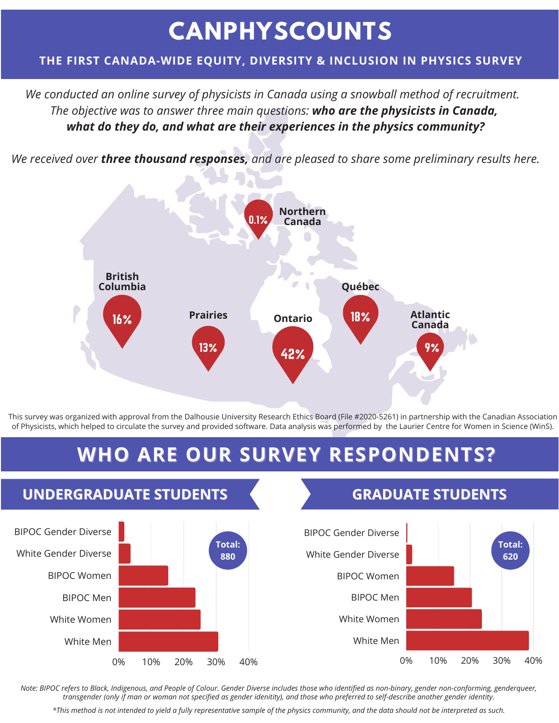# **CANPHYSCOUNTS**

### **THE FIRST CANADA-WIDE EQUITY, DIVERSITY & INCLUSION IN PHYSICS SURVEY**

*We conducted an online survey of physicists in Canada using a snowball method of recruitment. The objective was to answer three main questions: who are the physicists in Canada, what do they do, and what are their experiences in the physics community?*

*We received over three thousand responses, and are pleased to share some preliminary results here.*



This survey was organized with approval from the Dalhousie University Research Ethics Board (File #2020-5261) in partnership with the Canadian Association of Physicists, which helped to circulate the survey and provided software. Data analysis was performed by the Laurier Centre for Women in Science (WinS).

# **WHO ARE OUR SURVEY RESPONDENTS?**



*Note: BIPOC refers to Black, Indigenous, and People of Colour. Gender Diverse includes those who identified as non-binary, gender non-conforming, genderqueer, transgender (only if man or woman not specified as gender idenitity), and those who preferred to self-describe another gender identity.*

*\*This method is not intended to yield a fully representative sample of the physics community, and the data should not be interpreted as such.*